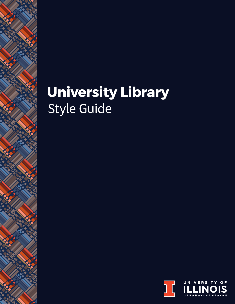# Style Guide **University Library**

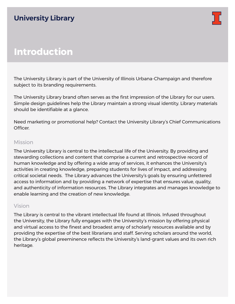

# **Introduction**

The University Library is part of the University of Illinois Urbana-Champaign and therefore subject to its branding requirements.

The University Library brand often serves as the first impression of the Library for our users. Simple design guidelines help the Library maintain a strong visual identity. Library materials should be identifiable at a glance.

Need marketing or promotional help? Contact the University Library's Chief Communications Officer.

### Mission

The University Library is central to the intellectual life of the University. By providing and stewarding collections and content that comprise a current and retrospective record of human knowledge and by offering a wide array of services, it enhances the University's activities in creating knowledge, preparing students for lives of impact, and addressing critical societal needs. The Library advances the University's goals by ensuring unfettered access to information and by providing a network of expertise that ensures value, quality, and authenticity of information resources. The Library integrates and manages knowledge to enable learning and the creation of new knowledge.

### Vision

The Library is central to the vibrant intellectual life found at Illinois. Infused throughout the University, the Library fully engages with the University's mission by offering physical and virtual access to the finest and broadest array of scholarly resources available and by providing the expertise of the best librarians and staff. Serving scholars around the world, the Library's global preeminence reflects the University's land-grant values and its own rich heritage.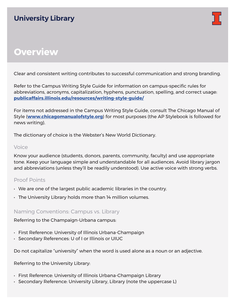

# **Overview**

Clear and consistent writing contributes to successful communication and strong branding.

Refer to the Campus Writing Style Guide for information on campus-specific rules for abbreviations, acronyms, capitalization, hyphens, punctuation, spelling, and correct usage: **[publicaffairs.illinois.edu/resources/writing-style-guide/](http://publicaffairs.illinois.edu/resources/writing-style-guide/)**

For items not addressed in the Campus Writing Style Guide, consult The Chicago Manual of Style (**[www.chicagomanualofstyle.org](http://www.chicagomanualofstyle.org)**) for most purposes (the AP Stylebook is followed for news writing).

The dictionary of choice is the Webster's New World Dictionary.

### Voice

Know your audience (students, donors, parents, community, faculty) and use appropriate tone. Keep your language simple and understandable for all audiences. Avoid library jargon and abbreviations (unless they'll be readily understood). Use active voice with strong verbs.

### Proof Points

- We are one of the largest public academic libraries in the country.
- The University Library holds more than 14 million volumes.

### Naming Conventions: Campus vs. Library

#### Referring to the Champaign-Urbana campus:

- First Reference: University of Illinois Urbana-Champaign
- Secondary References: U of I or Illinois or UIUC

Do not capitalize "university" when the word is used alone as a noun or an adjective.

Referring to the University Library:

- First Reference: University of Illinois Urbana-Champaign Library
- Secondary Reference: University Library, Library (note the uppercase L)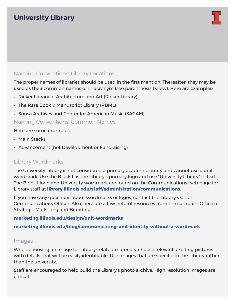

### Naming Conventions: Library Locations

The proper names of libraries should be used in the first mention. Thereafter, they may be used as their common names or in acronym (see parenthesis below). Here are examples:

- Ricker Library of Architecture and Art (Ricker Library)
- The Rare Book & Manuscript Library (RBML)
- Sousa Archives and Center for American Music (SACAM)

### Naming Conventions: Common Names

#### Here are some examples:

- Main Stacks
- Advancement (not Development or Fundraising)

### Library Wordmarks

The University Library is not considered a primary academic entity and cannot use a unit wordmark. Use the Block I as the Library's primary logo and use "University Library" in text. The Block I logo and University wordmark are found on the Communications web page for Library staff at **[library.illinois.edu/staff/a](http://www.library.illinois.edu/staff/administration/communications)dministration/communications**.

If you have any questions about wordmarks or logos, contact the Library's Chief Communications Officer. Also, here are a few helpful resources from the campus's [Office of](http://marketing.illinois.edu)  [Strategic Marketing and Branding](http://marketing.illinois.edu):

#### **[marketing.illinois.edu/design/unit-wordmarks](https://marketing.illinois.edu/design/unit-wordmarks)**

**[marketing.illinois.edu/blog/communicating-unit-identity-without-a-wordmark](https://marketing.illinois.edu/blog/communicating-unit-identity-without-a-wordmark)**

#### Images

When choosing an image for Library-related materials, choose relevant, exciting pictures with details that will be easily identifiable. Use images that are specific to the Library rather than the university.

Staff are encouraged to help build the Library's photo archive. High resolution images are critical.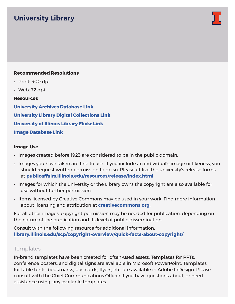

#### **Recommended Resolutions**

- Print: 300 dpi
- $\cdot$  Web: 72 dpi

#### **Resources**

**[University Archives Database](https://archives.library.illinois.edu/archon/index.php) Link University Library [Digital Collections](https://digital.library.illinois.edu/collections) Link [University of Illinois Library Flickr](https://www.flickr.com/photos/illinoislibrary/) Link [Image Database](https://publicaffairs.photoshelter.com/index) Link**

#### **Image Use**

- Images created before 1923 are considered to be in the public domain.
- Images you have taken are fine to use. If you include an individual's image or likeness, you should request written permission to do so. Please utilize the university's release forms at **[publicaffairs.illinois.edu/resources/release/index.html](http://publicaffairs.illinois.edu/resources/release/index.html)**.
- Images for which the university or the Library owns the copyright are also available for use without further permission.
- Items licensed by Creative Commons may be used in your work. Find more information about licensing and attribution at **[creativecommons.org](https://creativecommons.org)**.

For all other images, copyright permission may be needed for publication, depending on the nature of the publication and its level of public dissemination.

Consult with the following resource for additional information: **[library.illinois.edu/scp/copyright-overview/quick-facts-about-copyright/](http://www.library.illinois.edu/scp/copyright-overview/quick-facts-about-copyright/)**

#### **Templates**

In-brand templates have been created for often-used assets. Templates for PPTs, conference posters, and digital signs are available in Microsoft PowerPoint. Templates for table tents, bookmarks, postcards, flyers, etc. are available in Adobe InDesign. Please consult with the Chief Communications Officer if you have questions about, or need assistance using, any available templates.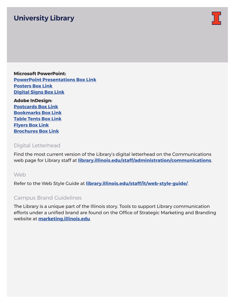

**Microsoft PowerPoint: [PowerPoint](https://app.box.com/s/2ln4eforl6gp0ivtoog9kiud0qw04us0) Presentations Box Link [Posters](https://app.box.com/s/5d31tuj5suvnwltq82q6f551aelsooad) Box Link [Digital Signs](https://app.box.com/s/izq6wlss0j6j5y55oevjitmyk8roge26) Box Link**

**Adobe InDesign: [Postcards](https://app.box.com/s/l2kdpc1y36s0m4mree936ro3srj4dfan) Box Link [Bookmarks](https://app.box.com/s/jj0w23t7qpl8j1rlvvaig4x83euz9ifc) Box Link [Table Tents](https://app.box.com/s/om9mi43p7791vsyuyb2u9sbm9ytbwuix) Box Link [Flyers](https://app.box.com/s/00eaafwz2x1p9vuqjgnwlugt96hzd65w) Box Link [Brochures](https://app.box.com/s/tsvvi1qcvwp1rsrqs5eib0evv3hq6dvv) Box Link**

### Digital Letterhead

Find the most current version of the Library's digital letterhead on the Communications web page for Library staff at **[library.illinois.edu/staff/a](http://www.library.illinois.edu/staff/administration/communications)dministration/communications**.

#### Web

Refer to the Web Style Guide at **[library.illinois.edu/staff/it/web-style-guide/](http://www.library.illinois.edu/staff/it/web-style-guide/)**.

### Campus Brand Guidelines

The Library is a unique part of the Illinois story. Tools to support Library communication efforts under a unified brand are found on the Office of Strategic Marketing and Branding website at **marketin[g.illinois.edu](http://marketing.illinois.edu)**.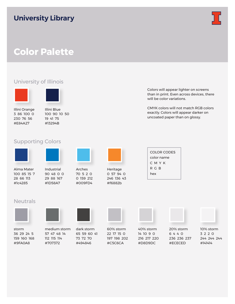

# **Color Palette**

### University of Illinois





Illini Orange 3 86 100 0 230 76 56 #E84A27

Illini Blue 100 90 10 50 19 41 75 #13294B

### Supporting Colors



Alma Mater 100 85 15 7 28 66 113 #1c4285

Industrial 90 48 0 0 29 88 167

#1D58A7



Arches 70 5 2 0 0 159 212 #009FD4



Heritage 0 57 94 0 246 136 43 #f6882b

| Colors will appear lighter on screens     |
|-------------------------------------------|
| than in print. Even across devices, there |
| will be color variations.                 |

CMYK colors will not match RGB colors exactly. Colors will appear darker on uncoated paper than on glossy.

| COLOR CODES |
|-------------|
| color name  |
| СМҮК        |
| R G B       |
| hex         |
|             |

#### **Neutrals**



storm 36 29 24 5 159 160 168 #9FA0A8

medium storm 57 47 48 14 112 115 114 #707372

dark storm 65 59 60 41 73 72 70 #494846

60% storm 22 17 15 0 197 198 202 #C5C6CA

40% storm 14 10 9 0 216 217 220 #D8D9DC

20% storm 6 4 4 0 236 236 237 #ECECED



10% storm 3 2 2 0 244 244 244 #141414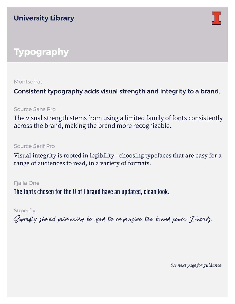

# **Typography**

**Montserrat** 

Consistent typography adds visual strength and integrity to a brand.

Source Sans Pro

The visual strength stems from using a limited family of fonts consistently across the brand, making the brand more recognizable.

Source Serif Pro

Visual integrity is rooted in legibility—choosing typefaces that are easy for a range of audiences to read, in a variety of formats.

Fjalla One

The fonts chosen for the U of I brand have an updated, clean look.

Superfly

Superfly should primarily be used to emphasize the brand power I-words.

*See next page for guidance*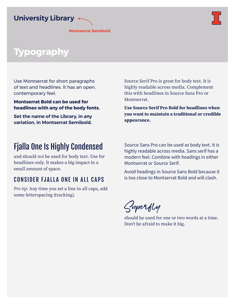

**Montserrat Semibold**



# **Typography**

Use Montserrat for short paragraphs of text and headlines. It has an open, contemporary feel.

**Montserrat Bold can be used for headlines with any of the body fonts.** 

**Set the name of the Library, in any variation, in Montserrat Semibold.** 

# Fjalla One Is Highly Condensed

and should *not* be used for body text. Use for headlines only. It makes a big impact in a small amount of space.

### CONSIDER FJALLA ONE IN ALL CAPS

*Pro tip:* Any time you set a line in all caps, add some letterspacing (tracking).

Source Serif Pro is great for body text. It is highly readable across media. Complement this with headlines in Source Sans Pro or Montserrat.

**Use Source Serif Pro Bold for headlines when you want to maintain a traditional or credible appearance.** 

Source Sans Pro can be used as body text. It is highly readable across media. Sans serif has a modern feel. Combine with headings in either Montserrat or Source Serif.

Avoid headings in Source Sans Bold because it is too close to Montserrat Bold and will clash.

Superfly

should be used for one or two words at a time. Don't be afraid to make it big.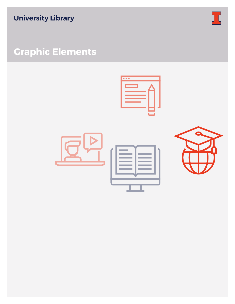

# **Graphic Elements**